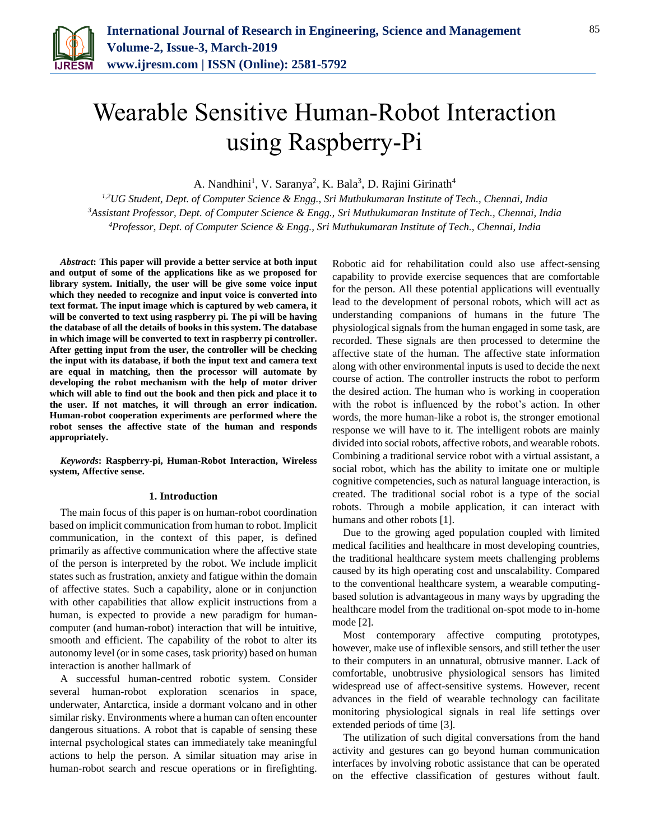

# Wearable Sensitive Human-Robot Interaction using Raspberry-Pi

A. Nandhini<sup>1</sup>, V. Saranya<sup>2</sup>, K. Bala<sup>3</sup>, D. Rajini Girinath<sup>4</sup>

*1,2UG Student, Dept. of Computer Science & Engg., Sri Muthukumaran Institute of Tech., Chennai, India <sup>3</sup>Assistant Professor, Dept. of Computer Science & Engg., Sri Muthukumaran Institute of Tech., Chennai, India 4Professor, Dept. of Computer Science & Engg., Sri Muthukumaran Institute of Tech., Chennai, India*

*Abstract***: This paper will provide a better service at both input and output of some of the applications like as we proposed for library system. Initially, the user will be give some voice input which they needed to recognize and input voice is converted into text format. The input image which is captured by web camera, it will be converted to text using raspberry pi. The pi will be having the database of all the details of books in this system. The database in which image will be converted to text in raspberry pi controller. After getting input from the user, the controller will be checking the input with its database, if both the input text and camera text are equal in matching, then the processor will automate by developing the robot mechanism with the help of motor driver which will able to find out the book and then pick and place it to the user. If not matches, it will through an error indication. Human-robot cooperation experiments are performed where the robot senses the affective state of the human and responds appropriately.**

*Keywords***: Raspberry-pi, Human-Robot Interaction, Wireless system, Affective sense.**

#### **1. Introduction**

The main focus of this paper is on human-robot coordination based on implicit communication from human to robot. Implicit communication, in the context of this paper, is defined primarily as affective communication where the affective state of the person is interpreted by the robot. We include implicit states such as frustration, anxiety and fatigue within the domain of affective states. Such a capability, alone or in conjunction with other capabilities that allow explicit instructions from a human, is expected to provide a new paradigm for humancomputer (and human-robot) interaction that will be intuitive, smooth and efficient. The capability of the robot to alter its autonomy level (or in some cases, task priority) based on human interaction is another hallmark of

A successful human-centred robotic system. Consider several human-robot exploration scenarios in space, underwater, Antarctica, inside a dormant volcano and in other similar risky. Environments where a human can often encounter dangerous situations. A robot that is capable of sensing these internal psychological states can immediately take meaningful actions to help the person. A similar situation may arise in human-robot search and rescue operations or in firefighting.

Robotic aid for rehabilitation could also use affect-sensing capability to provide exercise sequences that are comfortable for the person. All these potential applications will eventually lead to the development of personal robots, which will act as understanding companions of humans in the future The physiological signals from the human engaged in some task, are recorded. These signals are then processed to determine the affective state of the human. The affective state information along with other environmental inputs is used to decide the next course of action. The controller instructs the robot to perform the desired action. The human who is working in cooperation with the robot is influenced by the robot's action. In other words, the more human-like a robot is, the stronger emotional response we will have to it. The intelligent robots are mainly divided into social robots, affective robots, and wearable robots. Combining a traditional service robot with a virtual assistant, a social robot, which has the ability to imitate one or multiple cognitive competencies, such as natural language interaction, is created. The traditional social robot is a type of the social robots. Through a mobile application, it can interact with humans and other robots [1].

Due to the growing aged population coupled with limited medical facilities and healthcare in most developing countries, the traditional healthcare system meets challenging problems caused by its high operating cost and unscalability. Compared to the conventional healthcare system, a wearable computingbased solution is advantageous in many ways by upgrading the healthcare model from the traditional on-spot mode to in-home mode [2].

Most contemporary affective computing prototypes, however, make use of inflexible sensors, and still tether the user to their computers in an unnatural, obtrusive manner. Lack of comfortable, unobtrusive physiological sensors has limited widespread use of affect-sensitive systems. However, recent advances in the field of wearable technology can facilitate monitoring physiological signals in real life settings over extended periods of time [3].

The utilization of such digital conversations from the hand activity and gestures can go beyond human communication interfaces by involving robotic assistance that can be operated on the effective classification of gestures without fault.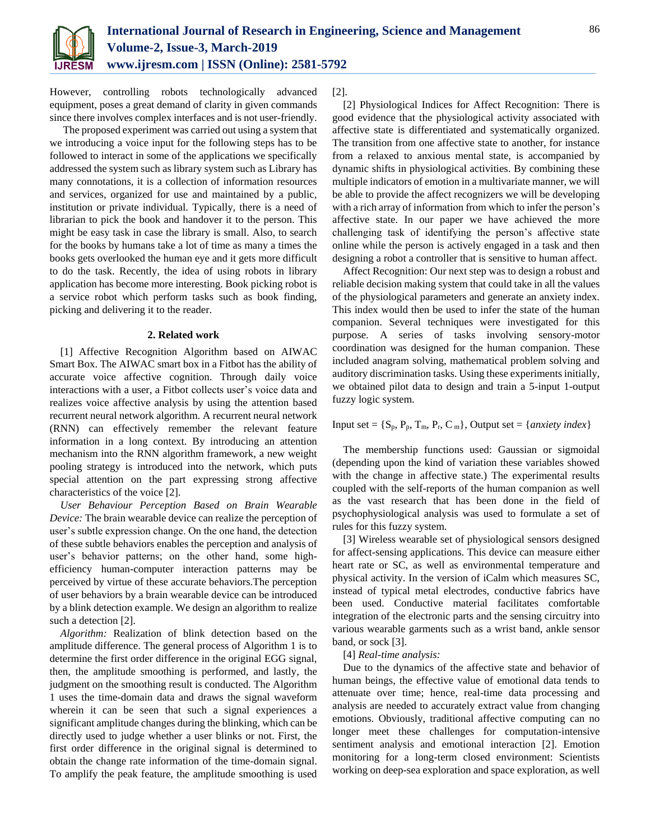

However, controlling robots technologically advanced equipment, poses a great demand of clarity in given commands since there involves complex interfaces and is not user-friendly.

The proposed experiment was carried out using a system that we introducing a voice input for the following steps has to be followed to interact in some of the applications we specifically addressed the system such as library system such as Library has many connotations, it is a collection of information resources and services, organized for use and maintained by a public, institution or private individual. Typically, there is a need of librarian to pick the book and handover it to the person. This might be easy task in case the library is small. Also, to search for the books by humans take a lot of time as many a times the books gets overlooked the human eye and it gets more difficult to do the task. Recently, the idea of using robots in library application has become more interesting. Book picking robot is a service robot which perform tasks such as book finding, picking and delivering it to the reader.

#### **2. Related work**

[1] Affective Recognition Algorithm based on AIWAC Smart Box. The AIWAC smart box in a Fitbot has the ability of accurate voice affective cognition. Through daily voice interactions with a user, a Fitbot collects user's voice data and realizes voice affective analysis by using the attention based recurrent neural network algorithm. A recurrent neural network (RNN) can effectively remember the relevant feature information in a long context. By introducing an attention mechanism into the RNN algorithm framework, a new weight pooling strategy is introduced into the network, which puts special attention on the part expressing strong affective characteristics of the voice [2].

*User Behaviour Perception Based on Brain Wearable Device:* The brain wearable device can realize the perception of user's subtle expression change. On the one hand, the detection of these subtle behaviors enables the perception and analysis of user's behavior patterns; on the other hand, some highefficiency human-computer interaction patterns may be perceived by virtue of these accurate behaviors.The perception of user behaviors by a brain wearable device can be introduced by a blink detection example. We design an algorithm to realize such a detection [2].

*Algorithm:* Realization of blink detection based on the amplitude difference. The general process of Algorithm 1 is to determine the first order difference in the original EGG signal, then, the amplitude smoothing is performed, and lastly, the judgment on the smoothing result is conducted. The Algorithm 1 uses the time-domain data and draws the signal waveform wherein it can be seen that such a signal experiences a significant amplitude changes during the blinking, which can be directly used to judge whether a user blinks or not. First, the first order difference in the original signal is determined to obtain the change rate information of the time-domain signal. To amplify the peak feature, the amplitude smoothing is used

[2].

[2] Physiological Indices for Affect Recognition: There is good evidence that the physiological activity associated with affective state is differentiated and systematically organized. The transition from one affective state to another, for instance from a relaxed to anxious mental state, is accompanied by dynamic shifts in physiological activities. By combining these multiple indicators of emotion in a multivariate manner, we will be able to provide the affect recognizers we will be developing with a rich array of information from which to infer the person's affective state. In our paper we have achieved the more challenging task of identifying the person's affective state online while the person is actively engaged in a task and then designing a robot a controller that is sensitive to human affect.

Affect Recognition: Our next step was to design a robust and reliable decision making system that could take in all the values of the physiological parameters and generate an anxiety index. This index would then be used to infer the state of the human companion. Several techniques were investigated for this purpose. A series of tasks involving sensory-motor coordination was designed for the human companion. These included anagram solving, mathematical problem solving and auditory discrimination tasks. Using these experiments initially, we obtained pilot data to design and train a 5-input 1-output fuzzy logic system.

# Input set =  ${S_p, P_p, T_m, P_r, C_m}$ , Output set = {*anxiety index*}

The membership functions used: Gaussian or sigmoidal (depending upon the kind of variation these variables showed with the change in affective state.) The experimental results coupled with the self-reports of the human companion as well as the vast research that has been done in the field of psychophysiological analysis was used to formulate a set of rules for this fuzzy system.

[3] Wireless wearable set of physiological sensors designed for affect-sensing applications. This device can measure either heart rate or SC, as well as environmental temperature and physical activity. In the version of iCalm which measures SC, instead of typical metal electrodes, conductive fabrics have been used. Conductive material facilitates comfortable integration of the electronic parts and the sensing circuitry into various wearable garments such as a wrist band, ankle sensor band, or sock [3].

#### [4] *Real-time analysis:*

Due to the dynamics of the affective state and behavior of human beings, the effective value of emotional data tends to attenuate over time; hence, real-time data processing and analysis are needed to accurately extract value from changing emotions. Obviously, traditional affective computing can no longer meet these challenges for computation-intensive sentiment analysis and emotional interaction [2]. Emotion monitoring for a long-term closed environment: Scientists working on deep-sea exploration and space exploration, as well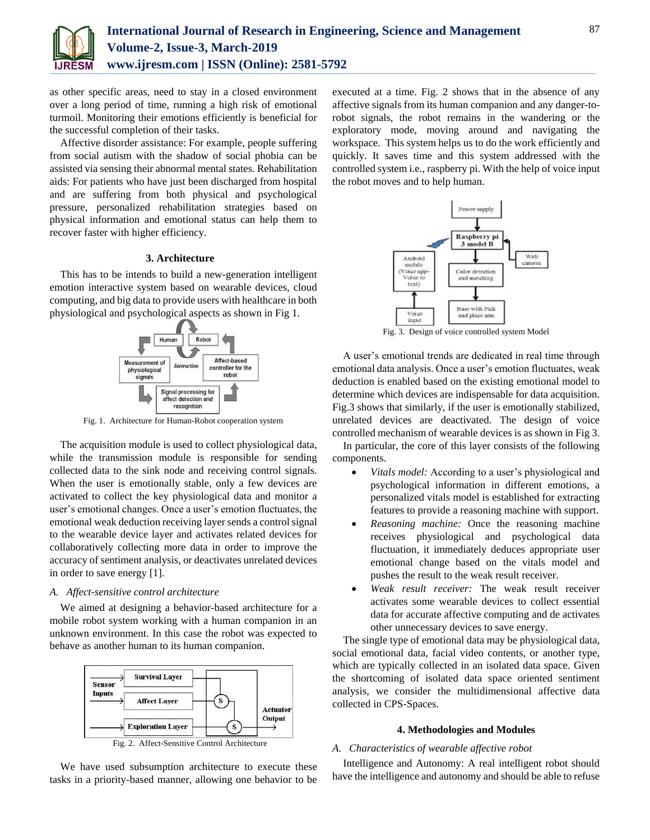

as other specific areas, need to stay in a closed environment over a long period of time, running a high risk of emotional turmoil. Monitoring their emotions efficiently is beneficial for the successful completion of their tasks.

Affective disorder assistance: For example, people suffering from social autism with the shadow of social phobia can be assisted via sensing their abnormal mental states. Rehabilitation aids: For patients who have just been discharged from hospital and are suffering from both physical and psychological pressure, personalized rehabilitation strategies based on physical information and emotional status can help them to recover faster with higher efficiency.

# **3. Architecture**

This has to be intends to build a new-generation intelligent emotion interactive system based on wearable devices, cloud computing, and big data to provide users with healthcare in both physiological and psychological aspects as shown in Fig 1.



Fig. 1. Architecture for Human-Robot cooperation system

The acquisition module is used to collect physiological data, while the transmission module is responsible for sending collected data to the sink node and receiving control signals. When the user is emotionally stable, only a few devices are activated to collect the key physiological data and monitor a user's emotional changes. Once a user's emotion fluctuates, the emotional weak deduction receiving layer sends a control signal to the wearable device layer and activates related devices for collaboratively collecting more data in order to improve the accuracy of sentiment analysis, or deactivates unrelated devices in order to save energy [1].

### *A. Affect-sensitive control architecture*

We aimed at designing a behavior-based architecture for a mobile robot system working with a human companion in an unknown environment. In this case the robot was expected to behave as another human to its human companion.



We have used subsumption architecture to execute these tasks in a priority-based manner, allowing one behavior to be executed at a time. Fig. 2 shows that in the absence of any affective signals from its human companion and any danger-torobot signals, the robot remains in the wandering or the exploratory mode, moving around and navigating the workspace. This system helps us to do the work efficiently and quickly. It saves time and this system addressed with the controlled system i.e., raspberry pi. With the help of voice input the robot moves and to help human.



Fig. 3. Design of voice controlled system Model

A user's emotional trends are dedicated in real time through emotional data analysis. Once a user's emotion fluctuates, weak deduction is enabled based on the existing emotional model to determine which devices are indispensable for data acquisition. Fig.3 shows that similarly, if the user is emotionally stabilized, unrelated devices are deactivated. The design of voice controlled mechanism of wearable devices is as shown in Fig 3.

In particular, the core of this layer consists of the following components.

- *Vitals model:* According to a user's physiological and psychological information in different emotions, a personalized vitals model is established for extracting features to provide a reasoning machine with support.
- *Reasoning machine:* Once the reasoning machine receives physiological and psychological data fluctuation, it immediately deduces appropriate user emotional change based on the vitals model and pushes the result to the weak result receiver.
- *Weak result receiver:* The weak result receiver activates some wearable devices to collect essential data for accurate affective computing and de activates other unnecessary devices to save energy.

The single type of emotional data may be physiological data, social emotional data, facial video contents, or another type, which are typically collected in an isolated data space. Given the shortcoming of isolated data space oriented sentiment analysis, we consider the multidimensional affective data collected in CPS-Spaces.

## **4. Methodologies and Modules**

# *A. Characteristics of wearable affective robot*

Intelligence and Autonomy: A real intelligent robot should have the intelligence and autonomy and should be able to refuse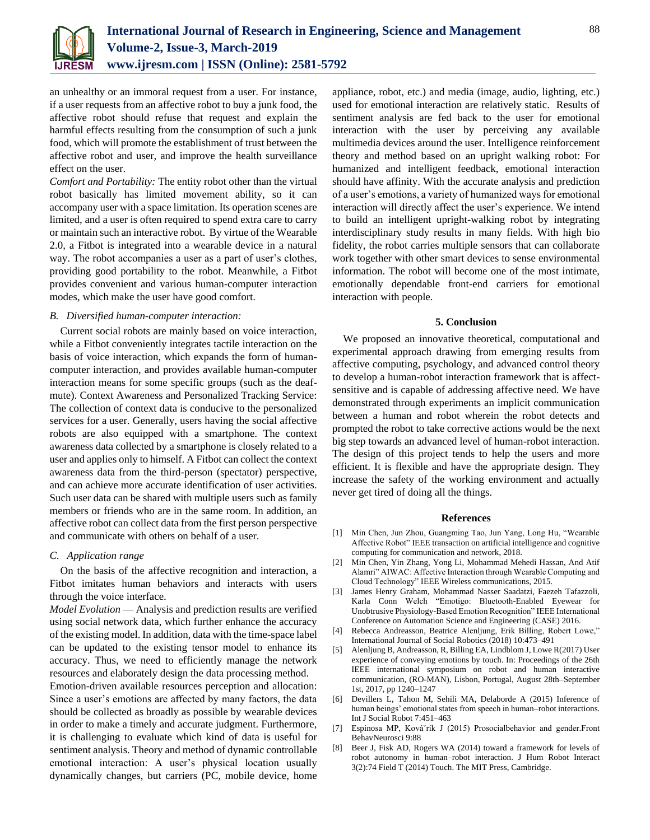

an unhealthy or an immoral request from a user. For instance, if a user requests from an affective robot to buy a junk food, the affective robot should refuse that request and explain the harmful effects resulting from the consumption of such a junk food, which will promote the establishment of trust between the affective robot and user, and improve the health surveillance effect on the user.

*Comfort and Portability:* The entity robot other than the virtual robot basically has limited movement ability, so it can accompany user with a space limitation. Its operation scenes are limited, and a user is often required to spend extra care to carry or maintain such an interactive robot. By virtue of the Wearable 2.0, a Fitbot is integrated into a wearable device in a natural way. The robot accompanies a user as a part of user's clothes, providing good portability to the robot. Meanwhile, a Fitbot provides convenient and various human-computer interaction modes, which make the user have good comfort.

# *B. Diversified human-computer interaction:*

Current social robots are mainly based on voice interaction, while a Fitbot conveniently integrates tactile interaction on the basis of voice interaction, which expands the form of humancomputer interaction, and provides available human-computer interaction means for some specific groups (such as the deafmute). Context Awareness and Personalized Tracking Service: The collection of context data is conducive to the personalized services for a user. Generally, users having the social affective robots are also equipped with a smartphone. The context awareness data collected by a smartphone is closely related to a user and applies only to himself. A Fitbot can collect the context awareness data from the third-person (spectator) perspective, and can achieve more accurate identification of user activities. Such user data can be shared with multiple users such as family members or friends who are in the same room. In addition, an affective robot can collect data from the first person perspective and communicate with others on behalf of a user.

## *C. Application range*

On the basis of the affective recognition and interaction, a Fitbot imitates human behaviors and interacts with users through the voice interface.

*Model Evolution* — Analysis and prediction results are verified using social network data, which further enhance the accuracy of the existing model. In addition, data with the time-space label can be updated to the existing tensor model to enhance its accuracy. Thus, we need to efficiently manage the network resources and elaborately design the data processing method.

Emotion-driven available resources perception and allocation: Since a user's emotions are affected by many factors, the data should be collected as broadly as possible by wearable devices in order to make a timely and accurate judgment. Furthermore, it is challenging to evaluate which kind of data is useful for sentiment analysis. Theory and method of dynamic controllable emotional interaction: A user's physical location usually dynamically changes, but carriers (PC, mobile device, home

appliance, robot, etc.) and media (image, audio, lighting, etc.) used for emotional interaction are relatively static. Results of sentiment analysis are fed back to the user for emotional interaction with the user by perceiving any available multimedia devices around the user. Intelligence reinforcement theory and method based on an upright walking robot: For humanized and intelligent feedback, emotional interaction should have affinity. With the accurate analysis and prediction of a user's emotions, a variety of humanized ways for emotional interaction will directly affect the user's experience. We intend to build an intelligent upright-walking robot by integrating interdisciplinary study results in many fields. With high bio fidelity, the robot carries multiple sensors that can collaborate work together with other smart devices to sense environmental information. The robot will become one of the most intimate, emotionally dependable front-end carriers for emotional interaction with people.

#### **5. Conclusion**

We proposed an innovative theoretical, computational and experimental approach drawing from emerging results from affective computing, psychology, and advanced control theory to develop a human-robot interaction framework that is affectsensitive and is capable of addressing affective need. We have demonstrated through experiments an implicit communication between a human and robot wherein the robot detects and prompted the robot to take corrective actions would be the next big step towards an advanced level of human-robot interaction. The design of this project tends to help the users and more efficient. It is flexible and have the appropriate design. They increase the safety of the working environment and actually never get tired of doing all the things.

#### **References**

- [1] Min Chen, Jun Zhou, Guangming Tao, Jun Yang, Long Hu, "Wearable Affective Robot" IEEE transaction on artificial intelligence and cognitive computing for communication and network, 2018.
- [2] Min Chen, Yin Zhang, Yong Li, Mohammad Mehedi Hassan, And Atif Alamri" AIWAC: Affective Interaction through Wearable Computing and Cloud Technology" IEEE Wireless communications, 2015.
- [3] James Henry Graham, Mohammad Nasser Saadatzi, Faezeh Tafazzoli, Karla Conn Welch "Emotigo: Bluetooth-Enabled Eyewear for Unobtrusive Physiology-Based Emotion Recognition" IEEE International Conference on Automation Science and Engineering (CASE) 2016.
- [4] Rebecca Andreasson, Beatrice Alenljung, Erik Billing, Robert Lowe," International Journal of Social Robotics (2018) 10:473–491
- [5] Alenljung B, Andreasson, R, Billing EA, Lindblom J, Lowe R(2017) User experience of conveying emotions by touch. In: Proceedings of the 26th IEEE international symposium on robot and human interactive communication, (RO-MAN), Lisbon, Portugal, August 28th–September 1st, 2017, pp 1240–1247
- [6] Devillers L, Tahon M, Sehili MA, Delaborde A (2015) Inference of human beings' emotional states from speech in human–robot interactions. Int J Social Robot 7:451–463
- [7] Espinosa MP, Ková`rík J (2015) Prosocialbehavior and gender. Front BehavNeurosci 9:88
- [8] Beer J, Fisk AD, Rogers WA (2014) toward a framework for levels of robot autonomy in human–robot interaction. J Hum Robot Interact 3(2):74 Field T (2014) Touch. The MIT Press, Cambridge.